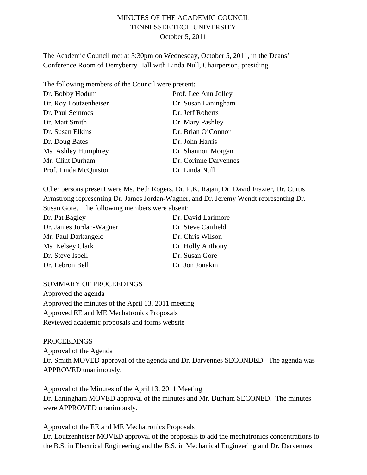# MINUTES OF THE ACADEMIC COUNCIL TENNESSEE TECH UNIVERSITY October 5, 2011

The Academic Council met at 3:30pm on Wednesday, October 5, 2011, in the Deans' Conference Room of Derryberry Hall with Linda Null, Chairperson, presiding.

The following members of the Council were present:

| Dr. Bobby Hodum       | Prof. Lee Ann Jolley  |
|-----------------------|-----------------------|
| Dr. Roy Loutzenheiser | Dr. Susan Laningham   |
| Dr. Paul Semmes       | Dr. Jeff Roberts      |
| Dr. Matt Smith        | Dr. Mary Pashley      |
| Dr. Susan Elkins      | Dr. Brian O'Connor    |
| Dr. Doug Bates        | Dr. John Harris       |
| Ms. Ashley Humphrey   | Dr. Shannon Morgan    |
| Mr. Clint Durham      | Dr. Corinne Darvennes |
| Prof. Linda McQuiston | Dr. Linda Null        |

Other persons present were Ms. Beth Rogers, Dr. P.K. Rajan, Dr. David Frazier, Dr. Curtis Armstrong representing Dr. James Jordan-Wagner, and Dr. Jeremy Wendt representing Dr. Susan Gore. The following members were absent:

| Dr. Pat Bagley          | Dr. David Larimore |
|-------------------------|--------------------|
| Dr. James Jordan-Wagner | Dr. Steve Canfield |
| Mr. Paul Darkangelo     | Dr. Chris Wilson   |
| Ms. Kelsey Clark        | Dr. Holly Anthony  |
| Dr. Steve Isbell        | Dr. Susan Gore     |
| Dr. Lebron Bell         | Dr. Jon Jonakin    |

#### SUMMARY OF PROCEEDINGS

Approved the agenda Approved the minutes of the April 13, 2011 meeting Approved EE and ME Mechatronics Proposals Reviewed academic proposals and forms website

PROCEEDINGS Approval of the Agenda Dr. Smith MOVED approval of the agenda and Dr. Darvennes SECONDED. The agenda was APPROVED unanimously.

Approval of the Minutes of the April 13, 2011 Meeting Dr. Laningham MOVED approval of the minutes and Mr. Durham SECONED. The minutes were APPROVED unanimously.

#### Approval of the EE and ME Mechatronics Proposals

Dr. Loutzenheiser MOVED approval of the proposals to add the mechatronics concentrations to the B.S. in Electrical Engineering and the B.S. in Mechanical Engineering and Dr. Darvennes